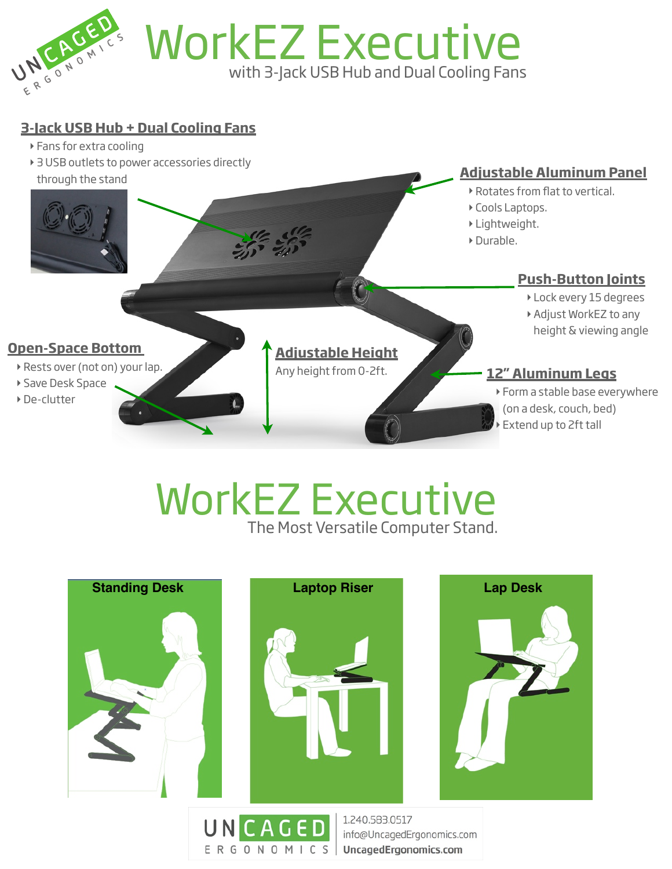

## WorkEZ Executive with 3-Jack USB Hub and Dual Cooling Fans

## **3-Jack USB Hub + Dual Cooling Fans**

- **‣** Fans for extra cooling
- **‣** 3 USB outlets to power accessories directly



**‣** Extend up to 2ft tall

## WorkEZ Executive The Most Versatile Computer Stand.



E R G O N O M I C S | UncagedErgonomics.com